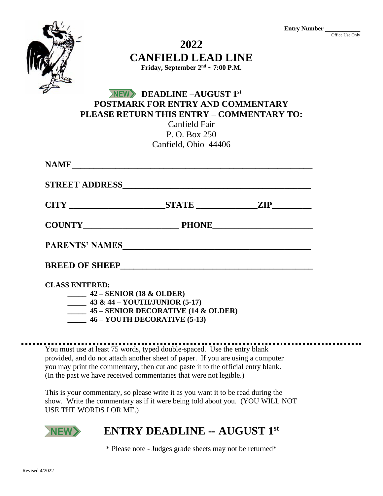**Entry Number \_\_\_\_\_\_\_\_** Office Use Only



# **2022 CANFIELD LEAD LINE Friday, September**  $2<sup>nd</sup> \sim 7:00$  **P.M.**

## **DEADLINE –AUGUST 1 st POSTMARK FOR ENTRY AND COMMENTARY PLEASE RETURN THIS ENTRY – COMMENTARY TO:**

Canfield Fair P. O. Box 250 Canfield, Ohio 44406

| <b>NAME</b>                                                                                                            |                                                   |  |
|------------------------------------------------------------------------------------------------------------------------|---------------------------------------------------|--|
|                                                                                                                        |                                                   |  |
|                                                                                                                        | STATE ZIP                                         |  |
| <b>PHONE</b><br><u> 1980 - Jan Stein Berlin, amerikansk politiker</u>                                                  |                                                   |  |
| <b>PARENTS' NAMES</b>                                                                                                  |                                                   |  |
| BREED OF SHEEP                                                                                                         |                                                   |  |
| <b>CLASS ENTERED:</b><br>$\frac{42 - \text{SENOR}}{18 \& \text{OLDER}}$<br>$\frac{1}{2}$ 43 & 44 – YOUTH/JUNIOR (5-17) | $\frac{1}{2}$ 45 – SENIOR DECORATIVE (14 & OLDER) |  |

**\_\_\_\_\_ 46 – YOUTH DECORATIVE (5-13)**

You must use at least 75 words, typed double-spaced. Use the entry blank provided, and do not attach another sheet of paper. If you are using a computer you may print the commentary, then cut and paste it to the official entry blank. (In the past we have received commentaries that were not legible.)

This is your commentary, so please write it as you want it to be read during the show. Write the commentary as if it were being told about you. (YOU WILL NOT USE THE WORDS I OR ME.)



# **ENTRY DEADLINE -- AUGUST 1 st**

\* Please note - Judges grade sheets may not be returned\*